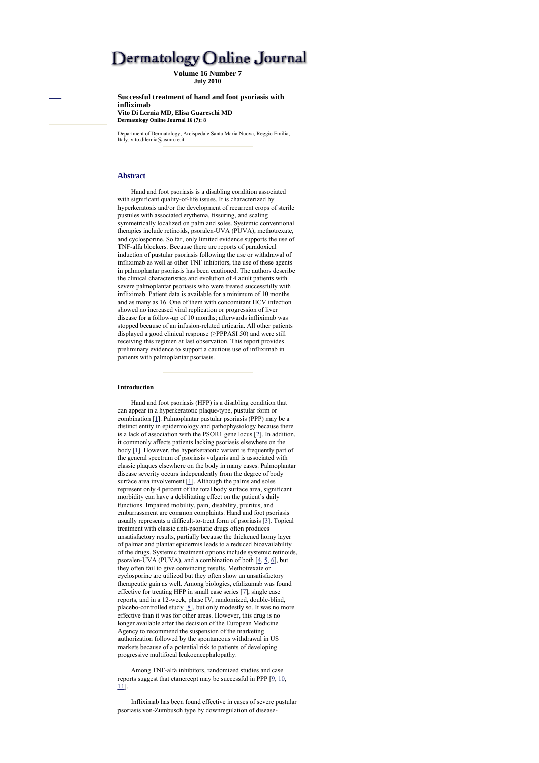# Dermatology Online Journal

**Volume 16 Number 7 July 2010**

**Successful treatment of hand and foot psoriasis with infliximab Vito Di Lernia MD, Elisa Guareschi MD Dermatology Online Journal 16 (7): 8** 

Department of Dermatology, Arcispedale Santa Maria Nuova, Reggio Emilia, Italy. vito.dilernia@asmn.re.it

## **Abstract**

Hand and foot psoriasis is a disabling condition associated with significant quality-of-life issues. It is characterized by hyperkeratosis and/or the development of recurrent crops of sterile pustules with associated erythema, fissuring, and scaling symmetrically localized on palm and soles. Systemic conventional therapies include retinoids, psoralen-UVA (PUVA), methotrexate, and cyclosporine. So far, only limited evidence supports the use of TNF-alfa blockers. Because there are reports of paradoxical induction of pustular psoriasis following the use or withdrawal of infliximab as well as other TNF inhibitors, the use of these agents in palmoplantar psoriasis has been cautioned. The authors describe the clinical characteristics and evolution of 4 adult patients with severe palmoplantar psoriasis who were treated successfully with infliximab. Patient data is available for a minimum of 10 months and as many as 16. One of them with concomitant HCV infection showed no increased viral replication or progression of liver disease for a follow-up of 10 months; afterwards infliximab was stopped because of an infusion-related urticaria. All other patients displayed a good clinical response (≥PPPASI 50) and were still receiving this regimen at last observation. This report provides preliminary evidence to support a cautious use of infliximab in patients with palmoplantar psoriasis.

#### **Introduction**

Hand and foot psoriasis (HFP) is a disabling condition that can appear in a hyperkeratotic plaque-type, pustular form or combination [1]. Palmoplantar pustular psoriasis (PPP) may be a distinct entity in epidemiology and pathophysiology because there is a lack of association with the PSOR1 gene locus [2]. In addition, it commonly affects patients lacking psoriasis elsewhere on the body [1]. However, the hyperkeratotic variant is frequently part of the general spectrum of psoriasis vulgaris and is associated with classic plaques elsewhere on the body in many cases. Palmoplantar disease severity occurs independently from the degree of body surface area involvement [1]. Although the palms and soles represent only 4 percent of the total body surface area, significant morbidity can have a debilitating effect on the patient's daily functions. Impaired mobility, pain, disability, pruritus, and embarrassment are common complaints. Hand and foot psoriasis usually represents a difficult-to-treat form of psoriasis [3]. Topical treatment with classic anti-psoriatic drugs often produces unsatisfactory results, partially because the thickened horny layer of palmar and plantar epidermis leads to a reduced bioavailability of the drugs. Systemic treatment options include systemic retinoids, psoralen-UVA (PUVA), and a combination of both  $[4, 5, 6]$ , but they often fail to give convincing results. Methotrexate or cyclosporine are utilized but they often show an unsatisfactory therapeutic gain as well. Among biologics, efalizumab was found effective for treating HFP in small case series [7], single case reports, and in a 12-week, phase IV, randomized, double-blind, placebo-controlled study [8], but only modestly so. It was no more effective than it was for other areas. However, this drug is no longer available after the decision of the European Medicine Agency to recommend the suspension of the marketing authorization followed by the spontaneous withdrawal in US markets because of a potential risk to patients of developing progressive multifocal leukoencephalopathy.

Among TNF-alfa inhibitors, randomized studies and case reports suggest that etanercept may be successful in PPP [9, 10, 11].

Infliximab has been found effective in cases of severe pustular psoriasis von-Zumbusch type by downregulation of disease-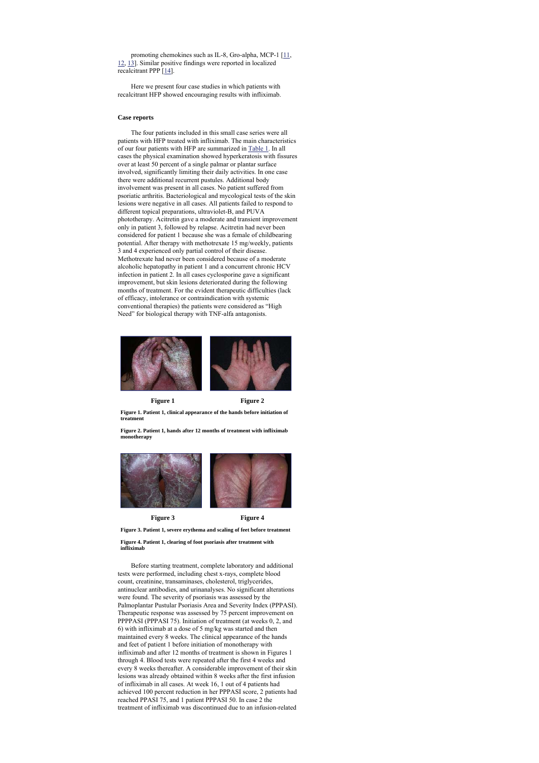promoting chemokines such as IL-8, Gro-alpha, MCP-1 [11, 12, 13]. Similar positive findings were reported in localized recalcitrant PPP [14].

Here we present four case studies in which patients with recalcitrant HFP showed encouraging results with infliximab.

## **Case reports**

The four patients included in this small case series were all patients with HFP treated with infliximab. The main characteristics of our four patients with HFP are summarized in Table 1. In all cases the physical examination showed hyperkeratosis with fissures over at least 50 percent of a single palmar or plantar surface involved, significantly limiting their daily activities. In one case there were additional recurrent pustules. Additional body involvement was present in all cases. No patient suffered from psoriatic arthritis. Bacteriological and mycological tests of the skin lesions were negative in all cases. All patients failed to respond to different topical preparations, ultraviolet-B, and PUVA phototherapy. Acitretin gave a moderate and transient improvement only in patient 3, followed by relapse. Acitretin had never been considered for patient 1 because she was a female of childbearing potential. After therapy with methotrexate 15 mg/weekly, patients 3 and 4 experienced only partial control of their disease. Methotrexate had never been considered because of a moderate alcoholic hepatopathy in patient 1 and a concurrent chronic HCV infection in patient 2. In all cases cyclosporine gave a significant improvement, but skin lesions deteriorated during the following months of treatment. For the evident therapeutic difficulties (lack of efficacy, intolerance or contraindication with systemic conventional therapies) the patients were considered as "High Need" for biological therapy with TNF-alfa antagonists.



**Figure 1 Figure 2 Figure 1. Patient 1, clinical appearance of the hands before initiation of treatment** 

**Figure 2. Patient 1, hands after 12 months of treatment with infliximab monotherapy**



**Figure 3 Figure 4 Figure 3. Patient 1, severe erythema and scaling of feet before treatment** 

**Figure 4. Patient 1, clearing of foot psoriasis after treatment with infliximab**

Before starting treatment, complete laboratory and additional testx were performed, including chest x-rays, complete blood count, creatinine, transaminases, cholesterol, triglycerides, antinuclear antibodies, and urinanalyses. No significant alterations were found. The severity of psoriasis was assessed by the Palmoplantar Pustular Psoriasis Area and Severity Index (PPPASI). Therapeutic response was assessed by 75 percent improvement on PPPPASI (PPPASI 75). Initiation of treatment (at weeks 0, 2, and 6) with infliximab at a dose of 5 mg/kg was started and then maintained every 8 weeks. The clinical appearance of the hands and feet of patient 1 before initiation of monotherapy with infliximab and after 12 months of treatment is shown in Figures 1 through 4. Blood tests were repeated after the first 4 weeks and every 8 weeks thereafter. A considerable improvement of their skin lesions was already obtained within 8 weeks after the first infusion of infliximab in all cases. At week 16, 1 out of 4 patients had achieved 100 percent reduction in her PPPASI score, 2 patients had reached PPASI 75, and 1 patient PPPASI 50. In case 2 the treatment of infliximab was discontinued due to an infusion-related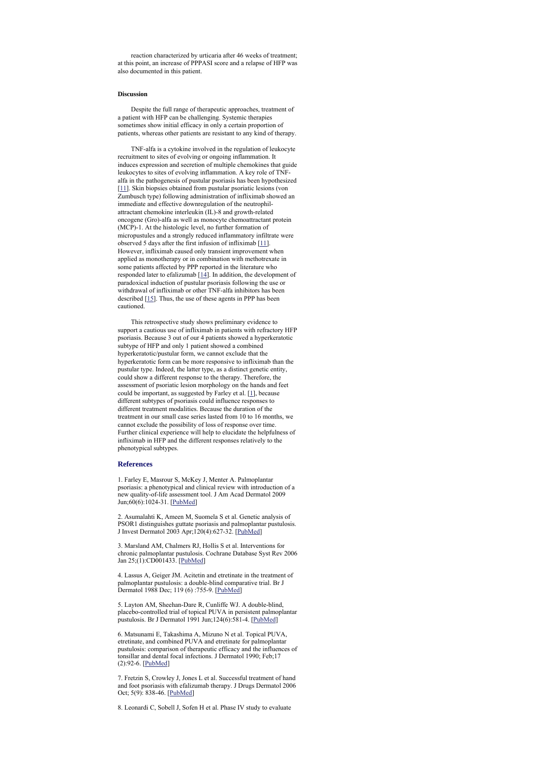reaction characterized by urticaria after 46 weeks of treatment; at this point, an increase of PPPASI score and a relapse of HFP was also documented in this patient.

### **Discussion**

Despite the full range of therapeutic approaches, treatment of a patient with HFP can be challenging. Systemic therapies sometimes show initial efficacy in only a certain proportion of patients, whereas other patients are resistant to any kind of therapy.

TNF-alfa is a cytokine involved in the regulation of leukocyte recruitment to sites of evolving or ongoing inflammation. It induces expression and secretion of multiple chemokines that guide leukocytes to sites of evolving inflammation. A key role of TNFalfa in the pathogenesis of pustular psoriasis has been hypothesized [11]. Skin biopsies obtained from pustular psoriatic lesions (von Zumbusch type) following administration of infliximab showed an immediate and effective downregulation of the neutrophilattractant chemokine interleukin (IL)-8 and growth-related oncogene (Gro)-alfa as well as monocyte chemoattractant protein (MCP)-1. At the histologic level, no further formation of micropustules and a strongly reduced inflammatory infiltrate were observed 5 days after the first infusion of infliximab [11]. However, infliximab caused only transient improvement when applied as monotherapy or in combination with methotrexate in some patients affected by PPP reported in the literature who responded later to efalizumab [14]. In addition, the development of paradoxical induction of pustular psoriasis following the use or withdrawal of infliximab or other TNF-alfa inhibitors has been described [15]. Thus, the use of these agents in PPP has been cautioned.

This retrospective study shows preliminary evidence to support a cautious use of infliximab in patients with refractory HFP psoriasis. Because 3 out of our 4 patients showed a hyperkeratotic subtype of HFP and only 1 patient showed a combined hyperkeratotic/pustular form, we cannot exclude that the hyperkeratotic form can be more responsive to infliximab than the pustular type. Indeed, the latter type, as a distinct genetic entity, could show a different response to the therapy. Therefore, the assessment of psoriatic lesion morphology on the hands and feet could be important, as suggested by Farley et al.  $[1]$ , because different subtypes of psoriasis could influence responses to different treatment modalities. Because the duration of the treatment in our small case series lasted from 10 to 16 months, we cannot exclude the possibility of loss of response over time. Further clinical experience will help to elucidate the helpfulness of infliximab in HFP and the different responses relatively to the phenotypical subtypes.

#### **References**

1. Farley E, Masrour S, McKey J, Menter A. Palmoplantar psoriasis: a phenotypical and clinical review with introduction of a new quality-of-life assessment tool. J Am Acad Dermatol 2009 Jun;60(6):1024-31. [PubMed]

2. Asumalahti K, Ameen M, Suomela S et al. Genetic analysis of PSOR1 distinguishes guttate psoriasis and palmoplantar pustulosis. J Invest Dermatol 2003 Apr;120(4):627-32. [PubMed]

3. Marsland AM, Chalmers RJ, Hollis S et al. Interventions for chronic palmoplantar pustulosis. Cochrane Database Syst Rev 2006 Jan 25;(1):CD001433. [PubMed]

4. Lassus A, Geiger JM. Acitetin and etretinate in the treatment of palmoplantar pustulosis: a double-blind comparative trial. Br J Dermatol 1988 Dec; 119 (6) :755-9. [PubMed]

5. Layton AM, Sheehan-Dare R, Cunliffe WJ. A double-blind, placebo-controlled trial of topical PUVA in persistent palmoplantar pustulosis. Br J Dermatol 1991 Jun;124(6):581-4. [PubMed]

6. Matsunami E, Takashima A, Mizuno N et al. Topical PUVA, etretinate, and combined PUVA and etretinate for palmoplantar pustulosis: comparison of therapeutic efficacy and the influences of tonsillar and dental focal infections. J Dermatol 1990; Feb;17 (2):92-6. [PubMed]

7. Fretzin S, Crowley J, Jones L et al. Successful treatment of hand and foot psoriasis with efalizumab therapy. J Drugs Dermatol 2006 Oct; 5(9): 838-46. [PubMed]

8. Leonardi C, Sobell J, Sofen H et al. Phase IV study to evaluate